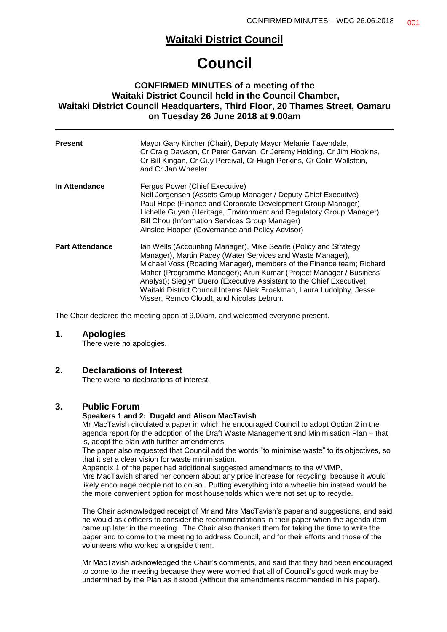## **Waitaki District Council**

# **Council**

## **CONFIRMED MINUTES of a meeting of the Waitaki District Council held in the Council Chamber, Waitaki District Council Headquarters, Third Floor, 20 Thames Street, Oamaru on Tuesday 26 June 2018 at 9.00am**

| <b>Present</b>         | Mayor Gary Kircher (Chair), Deputy Mayor Melanie Tavendale,<br>Cr Craig Dawson, Cr Peter Garvan, Cr Jeremy Holding, Cr Jim Hopkins,<br>Cr Bill Kingan, Cr Guy Percival, Cr Hugh Perkins, Cr Colin Wollstein,<br>and Cr Jan Wheeler                                                                                                                                                                                                                                         |
|------------------------|----------------------------------------------------------------------------------------------------------------------------------------------------------------------------------------------------------------------------------------------------------------------------------------------------------------------------------------------------------------------------------------------------------------------------------------------------------------------------|
| In Attendance          | Fergus Power (Chief Executive)<br>Neil Jorgensen (Assets Group Manager / Deputy Chief Executive)<br>Paul Hope (Finance and Corporate Development Group Manager)<br>Lichelle Guyan (Heritage, Environment and Regulatory Group Manager)<br>Bill Chou (Information Services Group Manager)<br>Ainslee Hooper (Governance and Policy Advisor)                                                                                                                                 |
| <b>Part Attendance</b> | Ian Wells (Accounting Manager), Mike Searle (Policy and Strategy<br>Manager), Martin Pacey (Water Services and Waste Manager),<br>Michael Voss (Roading Manager), members of the Finance team; Richard<br>Maher (Programme Manager); Arun Kumar (Project Manager / Business<br>Analyst); Sieglyn Duero (Executive Assistant to the Chief Executive);<br>Waitaki District Council Interns Niek Broekman, Laura Ludolphy, Jesse<br>Visser, Remco Cloudt, and Nicolas Lebrun. |

The Chair declared the meeting open at 9.00am, and welcomed everyone present.

#### **1. Apologies**

There were no apologies.

#### **2. Declarations of Interest**

There were no declarations of interest.

#### **3. Public Forum**

#### **Speakers 1 and 2: Dugald and Alison MacTavish**

Mr MacTavish circulated a paper in which he encouraged Council to adopt Option 2 in the agenda report for the adoption of the Draft Waste Management and Minimisation Plan – that is, adopt the plan with further amendments.

The paper also requested that Council add the words "to minimise waste" to its objectives, so that it set a clear vision for waste minimisation.

Appendix 1 of the paper had additional suggested amendments to the WMMP.

Mrs MacTavish shared her concern about any price increase for recycling, because it would likely encourage people not to do so. Putting everything into a wheelie bin instead would be the more convenient option for most households which were not set up to recycle.

The Chair acknowledged receipt of Mr and Mrs MacTavish's paper and suggestions, and said he would ask officers to consider the recommendations in their paper when the agenda item came up later in the meeting. The Chair also thanked them for taking the time to write the paper and to come to the meeting to address Council, and for their efforts and those of the volunteers who worked alongside them.

Mr MacTavish acknowledged the Chair's comments, and said that they had been encouraged to come to the meeting because they were worried that all of Council's good work may be undermined by the Plan as it stood (without the amendments recommended in his paper).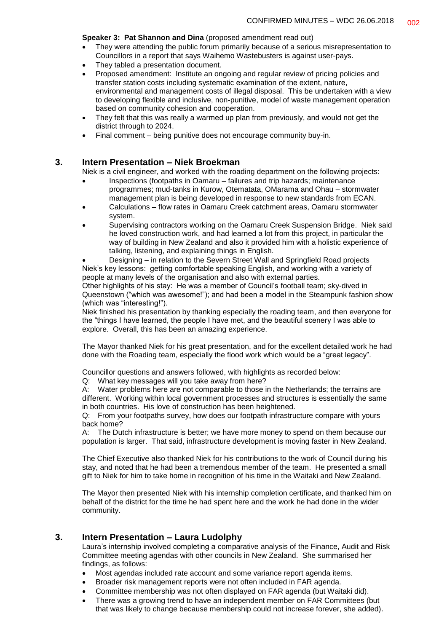**Speaker 3: Pat Shannon and Dina** (proposed amendment read out)

- They were attending the public forum primarily because of a serious misrepresentation to Councillors in a report that says Waihemo Wastebusters is against user-pays.
- They tabled a presentation document.
- Proposed amendment: Institute an ongoing and regular review of pricing policies and transfer station costs including systematic examination of the extent, nature, environmental and management costs of illegal disposal. This be undertaken with a view to developing flexible and inclusive, non-punitive, model of waste management operation based on community cohesion and cooperation.
- They felt that this was really a warmed up plan from previously, and would not get the district through to 2024.
- Final comment being punitive does not encourage community buy-in.

#### **3. Intern Presentation – Niek Broekman**

Niek is a civil engineer, and worked with the roading department on the following projects:

- Inspections (footpaths in Oamaru failures and trip hazards; maintenance programmes; mud-tanks in Kurow, Otematata, OMarama and Ohau – stormwater management plan is being developed in response to new standards from ECAN.
- Calculations flow rates in Oamaru Creek catchment areas, Oamaru stormwater system.
- Supervising contractors working on the Oamaru Creek Suspension Bridge. Niek said he loved construction work, and had learned a lot from this project, in particular the way of building in New Zealand and also it provided him with a holistic experience of talking, listening, and explaining things in English.

• Designing – in relation to the Severn Street Wall and Springfield Road projects Niek's key lessons: getting comfortable speaking English, and working with a variety of people at many levels of the organisation and also with external parties.

Other highlights of his stay: He was a member of Council's football team; sky-dived in Queenstown ("which was awesome!"); and had been a model in the Steampunk fashion show (which was "interesting!").

Niek finished his presentation by thanking especially the roading team, and then everyone for the "things I have learned, the people I have met, and the beautiful scenery I was able to explore. Overall, this has been an amazing experience.

The Mayor thanked Niek for his great presentation, and for the excellent detailed work he had done with the Roading team, especially the flood work which would be a "great legacy".

Councillor questions and answers followed, with highlights as recorded below:

Q: What key messages will you take away from here?

A: Water problems here are not comparable to those in the Netherlands; the terrains are different. Working within local government processes and structures is essentially the same in both countries. His love of construction has been heightened.

Q: From your footpaths survey, how does our footpath infrastructure compare with yours back home?

A: The Dutch infrastructure is better; we have more money to spend on them because our population is larger. That said, infrastructure development is moving faster in New Zealand.

The Chief Executive also thanked Niek for his contributions to the work of Council during his stay, and noted that he had been a tremendous member of the team. He presented a small gift to Niek for him to take home in recognition of his time in the Waitaki and New Zealand.

The Mayor then presented Niek with his internship completion certificate, and thanked him on behalf of the district for the time he had spent here and the work he had done in the wider community.

#### **3. Intern Presentation – Laura Ludolphy**

Laura's internship involved completing a comparative analysis of the Finance, Audit and Risk Committee meeting agendas with other councils in New Zealand. She summarised her findings, as follows:

- Most agendas included rate account and some variance report agenda items.
- Broader risk management reports were not often included in FAR agenda.
- Committee membership was not often displayed on FAR agenda (but Waitaki did).
- There was a growing trend to have an independent member on FAR Committees (but that was likely to change because membership could not increase forever, she added).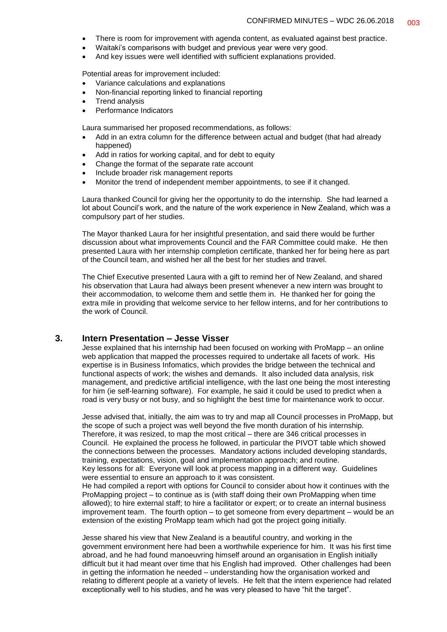- There is room for improvement with agenda content, as evaluated against best practice.
	- Waitaki's comparisons with budget and previous year were very good.
- And key issues were well identified with sufficient explanations provided.

Potential areas for improvement included:

- Variance calculations and explanations
- Non-financial reporting linked to financial reporting
- Trend analysis
- Performance Indicators

Laura summarised her proposed recommendations, as follows:

- Add in an extra column for the difference between actual and budget (that had already happened)
- Add in ratios for working capital, and for debt to equity
- Change the format of the separate rate account
- Include broader risk management reports
- Monitor the trend of independent member appointments, to see if it changed.

Laura thanked Council for giving her the opportunity to do the internship. She had learned a lot about Council's work, and the nature of the work experience in New Zealand, which was a compulsory part of her studies.

The Mayor thanked Laura for her insightful presentation, and said there would be further discussion about what improvements Council and the FAR Committee could make. He then presented Laura with her internship completion certificate, thanked her for being here as part of the Council team, and wished her all the best for her studies and travel.

The Chief Executive presented Laura with a gift to remind her of New Zealand, and shared his observation that Laura had always been present whenever a new intern was brought to their accommodation, to welcome them and settle them in. He thanked her for going the extra mile in providing that welcome service to her fellow interns, and for her contributions to the work of Council.

#### **3. Intern Presentation – Jesse Visser**

Jesse explained that his internship had been focused on working with ProMapp – an online web application that mapped the processes required to undertake all facets of work. His expertise is in Business Infomatics, which provides the bridge between the technical and functional aspects of work; the wishes and demands. It also included data analysis, risk management, and predictive artificial intelligence, with the last one being the most interesting for him (ie self-learning software). For example, he said it could be used to predict when a road is very busy or not busy, and so highlight the best time for maintenance work to occur.

Jesse advised that, initially, the aim was to try and map all Council processes in ProMapp, but the scope of such a project was well beyond the five month duration of his internship. Therefore, it was resized, to map the most critical – there are 346 critical processes in Council. He explained the process he followed, in particular the PIVOT table which showed the connections between the processes. Mandatory actions included developing standards, training, expectations, vision, goal and implementation approach; and routine.

Key lessons for all: Everyone will look at process mapping in a different way. Guidelines were essential to ensure an approach to it was consistent.

He had compiled a report with options for Council to consider about how it continues with the ProMapping project – to continue as is (with staff doing their own ProMapping when time allowed); to hire external staff; to hire a facilitator or expert; or to create an internal business improvement team. The fourth option – to get someone from every department – would be an extension of the existing ProMapp team which had got the project going initially.

Jesse shared his view that New Zealand is a beautiful country, and working in the government environment here had been a worthwhile experience for him. It was his first time abroad, and he had found manoeuvring himself around an organisation in English initially difficult but it had meant over time that his English had improved. Other challenges had been in getting the information he needed – understanding how the organisation worked and relating to different people at a variety of levels. He felt that the intern experience had related exceptionally well to his studies, and he was very pleased to have "hit the target".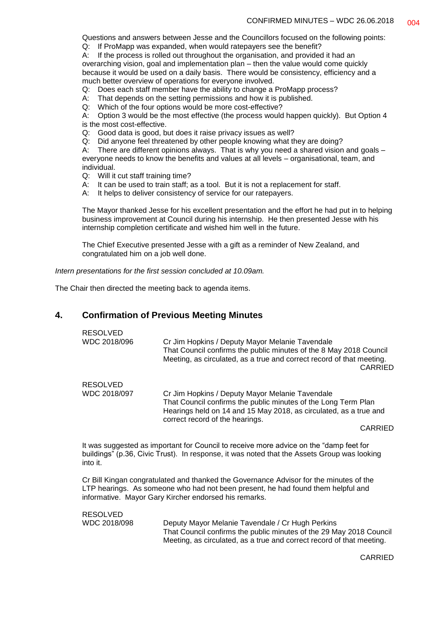Questions and answers between Jesse and the Councillors focused on the following points:

Q: If ProMapp was expanded, when would ratepayers see the benefit?

A: If the process is rolled out throughout the organisation, and provided it had an overarching vision, goal and implementation plan – then the value would come quickly because it would be used on a daily basis. There would be consistency, efficiency and a much better overview of operations for everyone involved.

Q: Does each staff member have the ability to change a ProMapp process?

A: That depends on the setting permissions and how it is published.

Q: Which of the four options would be more cost-effective?

A: Option 3 would be the most effective (the process would happen quickly). But Option 4 is the most cost-effective.

Q: Good data is good, but does it raise privacy issues as well?

Q: Did anyone feel threatened by other people knowing what they are doing?

A: There are different opinions always. That is why you need a shared vision and goals –

everyone needs to know the benefits and values at all levels – organisational, team, and individual.

Q: Will it cut staff training time?<br>A: It can be used to train staff:

- It can be used to train staff; as a tool. But it is not a replacement for staff.
- A: It helps to deliver consistency of service for our ratepayers.

The Mayor thanked Jesse for his excellent presentation and the effort he had put in to helping business improvement at Council during his internship. He then presented Jesse with his internship completion certificate and wished him well in the future.

The Chief Executive presented Jesse with a gift as a reminder of New Zealand, and congratulated him on a job well done.

*Intern presentations for the first session concluded at 10.09am.*

The Chair then directed the meeting back to agenda items.

## **4. Confirmation of Previous Meeting Minutes**

| <b>RESOLVED</b><br>WDC 2018/096 | Cr Jim Hopkins / Deputy Mayor Melanie Tavendale<br>That Council confirms the public minutes of the 8 May 2018 Council<br>Meeting, as circulated, as a true and correct record of that meeting.<br>CARRIED |
|---------------------------------|-----------------------------------------------------------------------------------------------------------------------------------------------------------------------------------------------------------|
| RESOLVED<br>WDC 2018/097        | Cr Jim Hopkins / Deputy Mayor Melanie Tavendale<br>That Council confirms the public minutes of the Long Term Plan<br>Hearings held on 14 and 15 May 2018, as circulated, as a true and                    |
|                                 | correct record of the hearings.<br>CARRIED                                                                                                                                                                |

It was suggested as important for Council to receive more advice on the "damp feet for buildings" (p.36, Civic Trust). In response, it was noted that the Assets Group was looking into it.

Cr Bill Kingan congratulated and thanked the Governance Advisor for the minutes of the LTP hearings. As someone who had not been present, he had found them helpful and informative. Mayor Gary Kircher endorsed his remarks.

RESOLVED<br>WDC 2018/098

Deputy Mayor Melanie Tayendale / Cr Hugh Perkins That Council confirms the public minutes of the 29 May 2018 Council Meeting, as circulated, as a true and correct record of that meeting.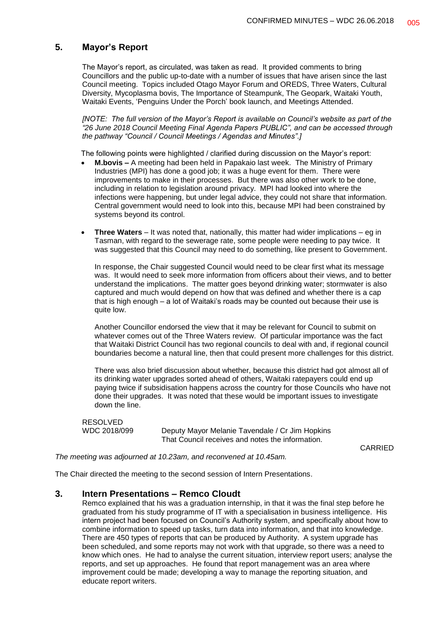#### **5. Mayor's Report**

The Mayor's report, as circulated, was taken as read. It provided comments to bring Councillors and the public up-to-date with a number of issues that have arisen since the last Council meeting. Topics included Otago Mayor Forum and OREDS, Three Waters, Cultural Diversity, Mycoplasma bovis, The Importance of Steampunk, The Geopark, Waitaki Youth, Waitaki Events, 'Penguins Under the Porch' book launch, and Meetings Attended.

*[NOTE: The full version of the Mayor's Report is available on Council's website as part of the "26 June 2018 Council Meeting Final Agenda Papers PUBLIC", and can be accessed through the pathway "Council / Council Meetings / Agendas and Minutes".]*

The following points were highlighted / clarified during discussion on the Mayor's report:

- **M.bovis –** A meeting had been held in Papakaio last week. The Ministry of Primary Industries (MPI) has done a good job; it was a huge event for them. There were improvements to make in their processes. But there was also other work to be done, including in relation to legislation around privacy. MPI had looked into where the infections were happening, but under legal advice, they could not share that information. Central government would need to look into this, because MPI had been constrained by systems beyond its control.
- **Three Waters** It was noted that, nationally, this matter had wider implications eg in Tasman, with regard to the sewerage rate, some people were needing to pay twice. It was suggested that this Council may need to do something, like present to Government.

In response, the Chair suggested Council would need to be clear first what its message was. It would need to seek more information from officers about their views, and to better understand the implications. The matter goes beyond drinking water; stormwater is also captured and much would depend on how that was defined and whether there is a cap that is high enough – a lot of Waitaki's roads may be counted out because their use is quite low.

Another Councillor endorsed the view that it may be relevant for Council to submit on whatever comes out of the Three Waters review. Of particular importance was the fact that Waitaki District Council has two regional councils to deal with and, if regional council boundaries become a natural line, then that could present more challenges for this district.

There was also brief discussion about whether, because this district had got almost all of its drinking water upgrades sorted ahead of others, Waitaki ratepayers could end up paying twice if subsidisation happens across the country for those Councils who have not done their upgrades. It was noted that these would be important issues to investigate down the line.

RESOLVED<br>WDC 2018/099

Deputy Mayor Melanie Tavendale / Cr Jim Hopkins That Council receives and notes the information.

CARRIED

*The meeting was adjourned at 10.23am, and reconvened at 10.45am.*

The Chair directed the meeting to the second session of Intern Presentations.

#### **3. Intern Presentations – Remco Cloudt**

Remco explained that his was a graduation internship, in that it was the final step before he graduated from his study programme of IT with a specialisation in business intelligence. His intern project had been focused on Council's Authority system, and specifically about how to combine information to speed up tasks, turn data into information, and that into knowledge. There are 450 types of reports that can be produced by Authority. A system upgrade has been scheduled, and some reports may not work with that upgrade, so there was a need to know which ones. He had to analyse the current situation, interview report users; analyse the reports, and set up approaches. He found that report management was an area where improvement could be made; developing a way to manage the reporting situation, and educate report writers.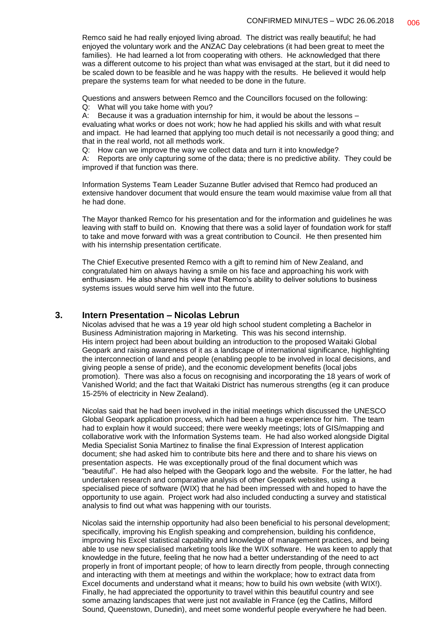Remco said he had really enjoyed living abroad. The district was really beautiful; he had enjoyed the voluntary work and the ANZAC Day celebrations (it had been great to meet the families). He had learned a lot from cooperating with others. He acknowledged that there was a different outcome to his project than what was envisaged at the start, but it did need to be scaled down to be feasible and he was happy with the results. He believed it would help prepare the systems team for what needed to be done in the future.

Questions and answers between Remco and the Councillors focused on the following:

Q: What will you take home with you?

A: Because it was a graduation internship for him, it would be about the lessons – evaluating what works or does not work; how he had applied his skills and with what result and impact. He had learned that applying too much detail is not necessarily a good thing; and that in the real world, not all methods work.

Q: How can we improve the way we collect data and turn it into knowledge?

A: Reports are only capturing some of the data; there is no predictive ability. They could be improved if that function was there.

Information Systems Team Leader Suzanne Butler advised that Remco had produced an extensive handover document that would ensure the team would maximise value from all that he had done.

The Mayor thanked Remco for his presentation and for the information and guidelines he was leaving with staff to build on. Knowing that there was a solid layer of foundation work for staff to take and move forward with was a great contribution to Council. He then presented him with his internship presentation certificate.

The Chief Executive presented Remco with a gift to remind him of New Zealand, and congratulated him on always having a smile on his face and approaching his work with enthusiasm. He also shared his view that Remco's ability to deliver solutions to business systems issues would serve him well into the future.

#### **3. Intern Presentation – Nicolas Lebrun**

Nicolas advised that he was a 19 year old high school student completing a Bachelor in Business Administration majoring in Marketing. This was his second internship. His intern project had been about building an introduction to the proposed Waitaki Global Geopark and raising awareness of it as a landscape of international significance, highlighting the interconnection of land and people (enabling people to be involved in local decisions, and giving people a sense of pride), and the economic development benefits (local jobs promotion). There was also a focus on recognising and incorporating the 18 years of work of Vanished World; and the fact that Waitaki District has numerous strengths (eg it can produce 15-25% of electricity in New Zealand).

Nicolas said that he had been involved in the initial meetings which discussed the UNESCO Global Geopark application process, which had been a huge experience for him. The team had to explain how it would succeed; there were weekly meetings; lots of GIS/mapping and collaborative work with the Information Systems team. He had also worked alongside Digital Media Specialist Sonia Martinez to finalise the final Expression of Interest application document; she had asked him to contribute bits here and there and to share his views on presentation aspects. He was exceptionally proud of the final document which was "beautiful". He had also helped with the Geopark logo and the website. For the latter, he had undertaken research and comparative analysis of other Geopark websites, using a specialised piece of software (WIX) that he had been impressed with and hoped to have the opportunity to use again. Project work had also included conducting a survey and statistical analysis to find out what was happening with our tourists.

Nicolas said the internship opportunity had also been beneficial to his personal development; specifically, improving his English speaking and comprehension, building his confidence, improving his Excel statistical capability and knowledge of management practices, and being able to use new specialised marketing tools like the WIX software. He was keen to apply that knowledge in the future, feeling that he now had a better understanding of the need to act properly in front of important people; of how to learn directly from people, through connecting and interacting with them at meetings and within the workplace; how to extract data from Excel documents and understand what it means; how to build his own website (with WIX!). Finally, he had appreciated the opportunity to travel within this beautiful country and see some amazing landscapes that were just not available in France (eg the Catlins, Milford Sound, Queenstown, Dunedin), and meet some wonderful people everywhere he had been.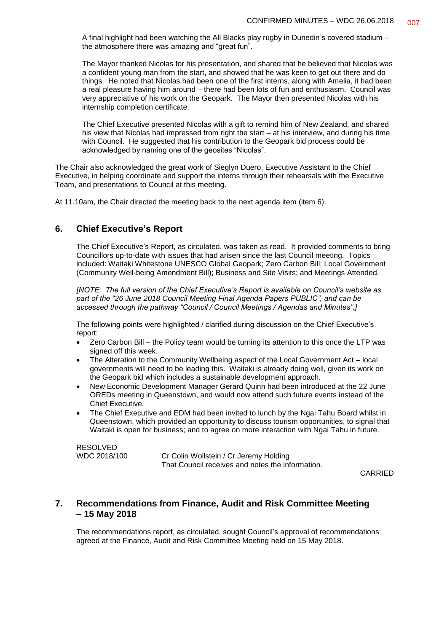A final highlight had been watching the All Blacks play rugby in Dunedin's covered stadium – the atmosphere there was amazing and "great fun".

The Mayor thanked Nicolas for his presentation, and shared that he believed that Nicolas was a confident young man from the start, and showed that he was keen to get out there and do things. He noted that Nicolas had been one of the first interns, along with Amelia, it had been a real pleasure having him around – there had been lots of fun and enthusiasm. Council was very appreciative of his work on the Geopark. The Mayor then presented Nicolas with his internship completion certificate.

The Chief Executive presented Nicolas with a gift to remind him of New Zealand, and shared his view that Nicolas had impressed from right the start – at his interview, and during his time with Council. He suggested that his contribution to the Geopark bid process could be acknowledged by naming one of the geosites "Nicolas".

The Chair also acknowledged the great work of Sieglyn Duero, Executive Assistant to the Chief Executive, in helping coordinate and support the interns through their rehearsals with the Executive Team, and presentations to Council at this meeting.

At 11.10am, the Chair directed the meeting back to the next agenda item (item 6).

## **6. Chief Executive's Report**

The Chief Executive's Report, as circulated, was taken as read. It provided comments to bring Councillors up-to-date with issues that had arisen since the last Council meeting. Topics included: Waitaki Whitestone UNESCO Global Geopark; Zero Carbon Bill; Local Government (Community Well-being Amendment Bill); Business and Site Visits; and Meetings Attended.

*[NOTE: The full version of the Chief Executive's Report is available on Council's website as part of the "26 June 2018 Council Meeting Final Agenda Papers PUBLIC", and can be accessed through the pathway "Council / Council Meetings / Agendas and Minutes".]*

The following points were highlighted / clarified during discussion on the Chief Executive's report:

- Zero Carbon Bill the Policy team would be turning its attention to this once the LTP was signed off this week.
- The Alteration to the Community Wellbeing aspect of the Local Government Act local governments will need to be leading this. Waitaki is already doing well, given its work on the Geopark bid which includes a sustainable development approach.
- New Economic Development Manager Gerard Quinn had been introduced at the 22 June OREDs meeting in Queenstown, and would now attend such future events instead of the Chief Executive.
- The Chief Executive and EDM had been invited to lunch by the Ngai Tahu Board whilst in Queenstown, which provided an opportunity to discuss tourism opportunities, to signal that Waitaki is open for business; and to agree on more interaction with Ngai Tahu in future.

RESOLVED<br>WDC 2018/100

Cr Colin Wollstein / Cr Jeremy Holding That Council receives and notes the information.

CARRIED

## **7. Recommendations from Finance, Audit and Risk Committee Meeting – 15 May 2018**

The recommendations report, as circulated, sought Council's approval of recommendations agreed at the Finance, Audit and Risk Committee Meeting held on 15 May 2018.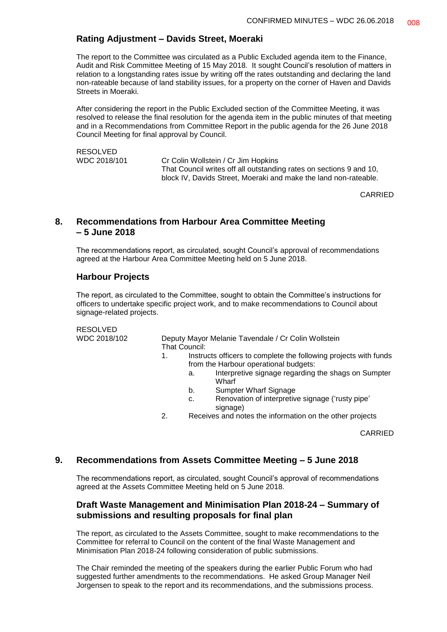#### **Rating Adjustment – Davids Street, Moeraki**

The report to the Committee was circulated as a Public Excluded agenda item to the Finance, Audit and Risk Committee Meeting of 15 May 2018. It sought Council's resolution of matters in relation to a longstanding rates issue by writing off the rates outstanding and declaring the land non-rateable because of land stability issues, for a property on the corner of Haven and Davids Streets in Moeraki.

After considering the report in the Public Excluded section of the Committee Meeting, it was resolved to release the final resolution for the agenda item in the public minutes of that meeting and in a Recommendations from Committee Report in the public agenda for the 26 June 2018 Council Meeting for final approval by Council.

| <b>RESOLVED</b> |                                                                     |
|-----------------|---------------------------------------------------------------------|
| WDC 2018/101    | Cr Colin Wollstein / Cr Jim Hopkins                                 |
|                 | That Council writes off all outstanding rates on sections 9 and 10, |
|                 | block IV, Davids Street, Moeraki and make the land non-rateable.    |

CARRIED

#### **8. Recommendations from Harbour Area Committee Meeting – 5 June 2018**

The recommendations report, as circulated, sought Council's approval of recommendations agreed at the Harbour Area Committee Meeting held on 5 June 2018.

#### **Harbour Projects**

The report, as circulated to the Committee, sought to obtain the Committee's instructions for officers to undertake specific project work, and to make recommendations to Council about signage-related projects.

RESOLVED

WDC 2018/102 Deputy Mayor Melanie Tavendale / Cr Colin Wollstein That Council:

- 1. Instructs officers to complete the following projects with funds from the Harbour operational budgets:
	- a. Interpretive signage regarding the shags on Sumpter **Wharf**
	- b. Sumpter Wharf Signage
	- c. Renovation of interpretive signage ('rusty pipe' signage)
- 2. Receives and notes the information on the other projects

CARRIED

#### **9. Recommendations from Assets Committee Meeting – 5 June 2018**

The recommendations report, as circulated, sought Council's approval of recommendations agreed at the Assets Committee Meeting held on 5 June 2018.

#### **Draft Waste Management and Minimisation Plan 2018-24 – Summary of submissions and resulting proposals for final plan**

The report, as circulated to the Assets Committee, sought to make recommendations to the Committee for referral to Council on the content of the final Waste Management and Minimisation Plan 2018-24 following consideration of public submissions.

The Chair reminded the meeting of the speakers during the earlier Public Forum who had suggested further amendments to the recommendations. He asked Group Manager Neil Jorgensen to speak to the report and its recommendations, and the submissions process.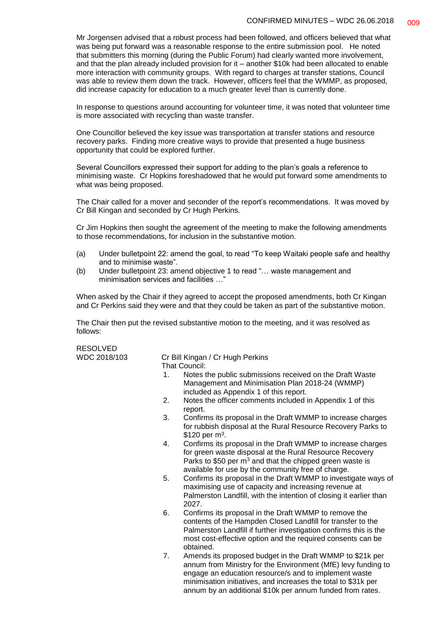Mr Jorgensen advised that a robust process had been followed, and officers believed that what was being put forward was a reasonable response to the entire submission pool. He noted that submitters this morning (during the Public Forum) had clearly wanted more involvement, and that the plan already included provision for it – another \$10k had been allocated to enable more interaction with community groups. With regard to charges at transfer stations, Council was able to review them down the track. However, officers feel that the WMMP, as proposed, did increase capacity for education to a much greater level than is currently done.

In response to questions around accounting for volunteer time, it was noted that volunteer time is more associated with recycling than waste transfer.

One Councillor believed the key issue was transportation at transfer stations and resource recovery parks. Finding more creative ways to provide that presented a huge business opportunity that could be explored further.

Several Councillors expressed their support for adding to the plan's goals a reference to minimising waste. Cr Hopkins foreshadowed that he would put forward some amendments to what was being proposed.

The Chair called for a mover and seconder of the report's recommendations. It was moved by Cr Bill Kingan and seconded by Cr Hugh Perkins.

Cr Jim Hopkins then sought the agreement of the meeting to make the following amendments to those recommendations, for inclusion in the substantive motion.

- (a) Under bulletpoint 22: amend the goal, to read "To keep Waitaki people safe and healthy and to minimise waste".
- (b) Under bulletpoint 23: amend objective 1 to read "… waste management and minimisation services and facilities …"

When asked by the Chair if they agreed to accept the proposed amendments, both Cr Kingan and Cr Perkins said they were and that they could be taken as part of the substantive motion.

The Chair then put the revised substantive motion to the meeting, and it was resolved as follows:

RESOLVED

WDC 2018/103 Cr Bill Kingan / Cr Hugh Perkins That Council:

- 1. Notes the public submissions received on the Draft Waste Management and Minimisation Plan 2018-24 (WMMP) included as Appendix 1 of this report.
- 2. Notes the officer comments included in Appendix 1 of this report.
- 3. Confirms its proposal in the Draft WMMP to increase charges for rubbish disposal at the Rural Resource Recovery Parks to  $$120$  per m<sup>3</sup>.
- 4. Confirms its proposal in the Draft WMMP to increase charges for green waste disposal at the Rural Resource Recovery Parks to \$50 per  $m<sup>3</sup>$  and that the chipped green waste is available for use by the community free of charge.
- 5. Confirms its proposal in the Draft WMMP to investigate ways of maximising use of capacity and increasing revenue at Palmerston Landfill, with the intention of closing it earlier than 2027.
- 6. Confirms its proposal in the Draft WMMP to remove the contents of the Hampden Closed Landfill for transfer to the Palmerston Landfill if further investigation confirms this is the most cost-effective option and the required consents can be obtained.
- 7. Amends its proposed budget in the Draft WMMP to \$21k per annum from Ministry for the Environment (MfE) levy funding to engage an education resource/s and to implement waste minimisation initiatives, and increases the total to \$31k per annum by an additional \$10k per annum funded from rates.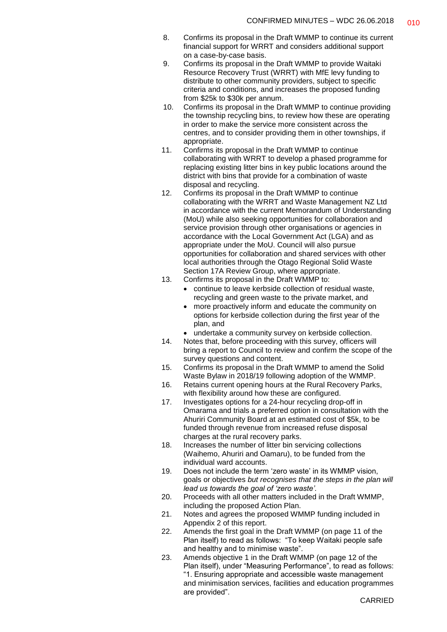- 8. Confirms its proposal in the Draft WMMP to continue its current financial support for WRRT and considers additional support on a case-by-case basis.
- 9. Confirms its proposal in the Draft WMMP to provide Waitaki Resource Recovery Trust (WRRT) with MfE levy funding to distribute to other community providers, subject to specific criteria and conditions, and increases the proposed funding from \$25k to \$30k per annum.
- 10. Confirms its proposal in the Draft WMMP to continue providing the township recycling bins, to review how these are operating in order to make the service more consistent across the centres, and to consider providing them in other townships, if appropriate.
- 11. Confirms its proposal in the Draft WMMP to continue collaborating with WRRT to develop a phased programme for replacing existing litter bins in key public locations around the district with bins that provide for a combination of waste disposal and recycling.
- 12. Confirms its proposal in the Draft WMMP to continue collaborating with the WRRT and Waste Management NZ Ltd in accordance with the current Memorandum of Understanding (MoU) while also seeking opportunities for collaboration and service provision through other organisations or agencies in accordance with the Local Government Act (LGA) and as appropriate under the MoU. Council will also pursue opportunities for collaboration and shared services with other local authorities through the Otago Regional Solid Waste Section 17A Review Group, where appropriate.
- 13. Confirms its proposal in the Draft WMMP to:
	- continue to leave kerbside collection of residual waste, recycling and green waste to the private market, and
	- more proactively inform and educate the community on options for kerbside collection during the first year of the plan, and
	- undertake a community survey on kerbside collection.
- 14. Notes that, before proceeding with this survey, officers will bring a report to Council to review and confirm the scope of the survey questions and content.
- 15. Confirms its proposal in the Draft WMMP to amend the Solid Waste Bylaw in 2018/19 following adoption of the WMMP.
- 16. Retains current opening hours at the Rural Recovery Parks, with flexibility around how these are configured.
- 17. Investigates options for a 24-hour recycling drop-off in Omarama and trials a preferred option in consultation with the Ahuriri Community Board at an estimated cost of \$5k, to be funded through revenue from increased refuse disposal charges at the rural recovery parks.
- 18. Increases the number of litter bin servicing collections (Waihemo, Ahuriri and Oamaru), to be funded from the individual ward accounts.
- 19. Does not include the term 'zero waste' in its WMMP vision, goals or objectives *but recognises that the steps in the plan will lead us towards the goal of 'zero waste'.*
- 20. Proceeds with all other matters included in the Draft WMMP, including the proposed Action Plan.
- 21. Notes and agrees the proposed WMMP funding included in Appendix 2 of this report.
- 22. Amends the first goal in the Draft WMMP (on page 11 of the Plan itself) to read as follows: "To keep Waitaki people safe and healthy and to minimise waste".
- 23. Amends objective 1 in the Draft WMMP (on page 12 of the Plan itself), under "Measuring Performance", to read as follows: "1. Ensuring appropriate and accessible waste management and minimisation services, facilities and education programmes are provided".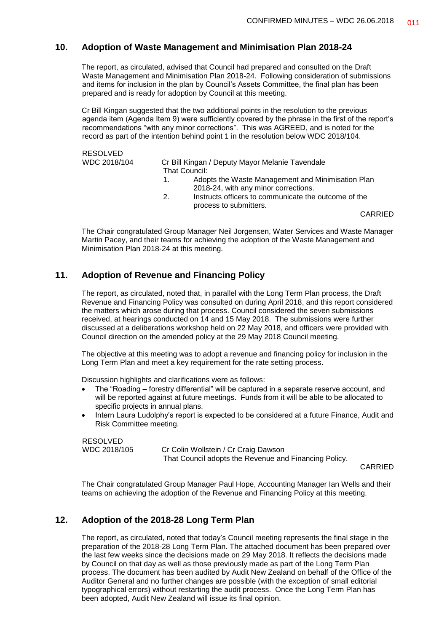#### **10. Adoption of Waste Management and Minimisation Plan 2018-24**

The report, as circulated, advised that Council had prepared and consulted on the Draft Waste Management and Minimisation Plan 2018-24. Following consideration of submissions and items for inclusion in the plan by Council's Assets Committee, the final plan has been prepared and is ready for adoption by Council at this meeting.

Cr Bill Kingan suggested that the two additional points in the resolution to the previous agenda item (Agenda Item 9) were sufficiently covered by the phrase in the first of the report's recommendations "with any minor corrections". This was AGREED, and is noted for the record as part of the intention behind point 1 in the resolution below WDC 2018/104.

| <b>RESOLVED</b> |    |                                                                                           |
|-----------------|----|-------------------------------------------------------------------------------------------|
| WDC 2018/104    |    | Cr Bill Kingan / Deputy Mayor Melanie Tavendale                                           |
|                 |    | That Council:                                                                             |
|                 | 1. | Adopts the Waste Management and Minimisation Plan<br>2018-24, with any minor corrections. |
|                 | 2. | Instructs officers to communicate the outcome of the<br>process to submitters.            |
|                 |    | CARRIED                                                                                   |

The Chair congratulated Group Manager Neil Jorgensen, Water Services and Waste Manager Martin Pacey, and their teams for achieving the adoption of the Waste Management and Minimisation Plan 2018-24 at this meeting.

#### **11. Adoption of Revenue and Financing Policy**

The report, as circulated, noted that, in parallel with the Long Term Plan process, the Draft Revenue and Financing Policy was consulted on during April 2018, and this report considered the matters which arose during that process. Council considered the seven submissions received, at hearings conducted on 14 and 15 May 2018. The submissions were further discussed at a deliberations workshop held on 22 May 2018, and officers were provided with Council direction on the amended policy at the 29 May 2018 Council meeting.

The objective at this meeting was to adopt a revenue and financing policy for inclusion in the Long Term Plan and meet a key requirement for the rate setting process.

Discussion highlights and clarifications were as follows:

- The "Roading forestry differential" will be captured in a separate reserve account, and will be reported against at future meetings. Funds from it will be able to be allocated to specific projects in annual plans.
- Intern Laura Ludolphy's report is expected to be considered at a future Finance, Audit and Risk Committee meeting.

RESOLVED<br>WDC 2018/105

Cr Colin Wollstein / Cr Craig Dawson That Council adopts the Revenue and Financing Policy.

CARRIED

The Chair congratulated Group Manager Paul Hope, Accounting Manager Ian Wells and their teams on achieving the adoption of the Revenue and Financing Policy at this meeting.

#### **12. Adoption of the 2018-28 Long Term Plan**

The report, as circulated, noted that today's Council meeting represents the final stage in the preparation of the 2018-28 Long Term Plan. The attached document has been prepared over the last few weeks since the decisions made on 29 May 2018. It reflects the decisions made by Council on that day as well as those previously made as part of the Long Term Plan process. The document has been audited by Audit New Zealand on behalf of the Office of the Auditor General and no further changes are possible (with the exception of small editorial typographical errors) without restarting the audit process. Once the Long Term Plan has been adopted, Audit New Zealand will issue its final opinion.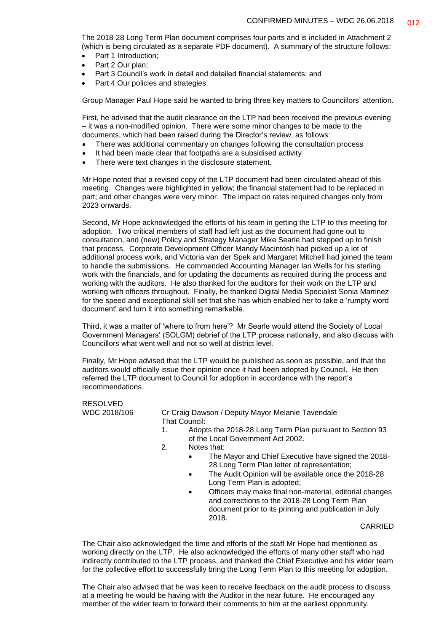The 2018-28 Long Term Plan document comprises four parts and is included in Attachment 2 (which is being circulated as a separate PDF document). A summary of the structure follows:

- Part 1 Introduction;
- Part 2 Our plan:
- Part 3 Council's work in detail and detailed financial statements; and
- Part 4 Our policies and strategies.

Group Manager Paul Hope said he wanted to bring three key matters to Councillors' attention.

First, he advised that the audit clearance on the LTP had been received the previous evening – it was a non-modified opinion. There were some minor changes to be made to the documents, which had been raised during the Director's review, as follows:

- There was additional commentary on changes following the consultation process
- It had been made clear that footpaths are a subsidised activity
- There were text changes in the disclosure statement.

Mr Hope noted that a revised copy of the LTP document had been circulated ahead of this meeting. Changes were highlighted in yellow; the financial statement had to be replaced in part; and other changes were very minor. The impact on rates required changes only from 2023 onwards.

Second, Mr Hope acknowledged the efforts of his team in getting the LTP to this meeting for adoption. Two critical members of staff had left just as the document had gone out to consultation, and (new) Policy and Strategy Manager Mike Searle had stepped up to finish that process. Corporate Development Officer Mandy Macintosh had picked up a lot of additional process work, and Victoria van der Spek and Margaret Mitchell had joined the team to handle the submissions. He commended Accounting Manager Ian Wells for his sterling work with the financials, and for updating the documents as required during the process and working with the auditors. He also thanked for the auditors for their work on the LTP and working with officers throughout. Finally, he thanked Digital Media Specialist Sonia Martinez for the speed and exceptional skill set that she has which enabled her to take a 'rumpty word document' and turn it into something remarkable.

Third, it was a matter of 'where to from here'? Mr Searle would attend the Society of Local Government Managers' (SOLGM) debrief of the LTP process nationally, and also discuss with Councillors what went well and not so well at district level.

Finally, Mr Hope advised that the LTP would be published as soon as possible, and that the auditors would officially issue their opinion once it had been adopted by Council. He then referred the LTP document to Council for adoption in accordance with the report's recommendations.

RESOLVED

WDC 2018/106 Cr Craig Dawson / Deputy Mayor Melanie Tavendale That Council:

- 1. Adopts the 2018-28 Long Term Plan pursuant to Section 93 of the Local Government Act 2002.
- 2. Notes that:
	- The Mayor and Chief Executive have signed the 2018- 28 Long Term Plan letter of representation;
	- The Audit Opinion will be available once the 2018-28 Long Term Plan is adopted;
	- Officers may make final non-material, editorial changes and corrections to the 2018-28 Long Term Plan document prior to its printing and publication in July 2018.

CARRIED

The Chair also acknowledged the time and efforts of the staff Mr Hope had mentioned as working directly on the LTP. He also acknowledged the efforts of many other staff who had indirectly contributed to the LTP process, and thanked the Chief Executive and his wider team for the collective effort to successfully bring the Long Term Plan to this meeting for adoption.

The Chair also advised that he was keen to receive feedback on the audit process to discuss at a meeting he would be having with the Auditor in the near future. He encouraged any member of the wider team to forward their comments to him at the earliest opportunity.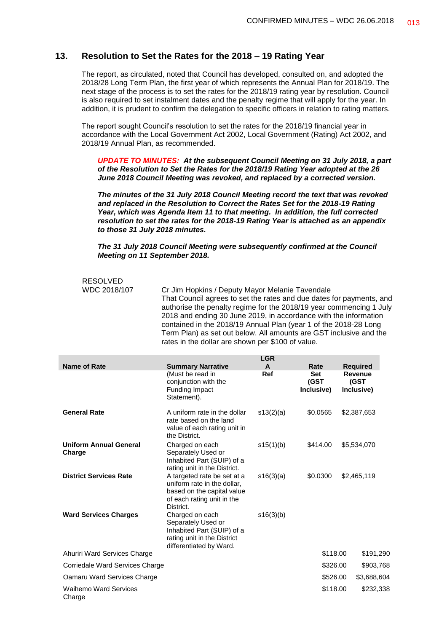#### **13. Resolution to Set the Rates for the 2018 – 19 Rating Year**

The report, as circulated, noted that Council has developed, consulted on, and adopted the 2018/28 Long Term Plan, the first year of which represents the Annual Plan for 2018/19. The next stage of the process is to set the rates for the 2018/19 rating year by resolution. Council is also required to set instalment dates and the penalty regime that will apply for the year. In addition, it is prudent to confirm the delegation to specific officers in relation to rating matters.

The report sought Council's resolution to set the rates for the 2018/19 financial year in accordance with the Local Government Act 2002, Local Government (Rating) Act 2002, and 2018/19 Annual Plan, as recommended.

*UPDATE TO MINUTES: At the subsequent Council Meeting on 31 July 2018, a part of the Resolution to Set the Rates for the 2018/19 Rating Year adopted at the 26 June 2018 Council Meeting was revoked, and replaced by a corrected version.* 

*The minutes of the 31 July 2018 Council Meeting record the text that was revoked and replaced in the Resolution to Correct the Rates Set for the 2018-19 Rating Year, which was Agenda Item 11 to that meeting. In addition, the full corrected resolution to set the rates for the 2018-19 Rating Year is attached as an appendix to those 31 July 2018 minutes.*

*The 31 July 2018 Council Meeting were subsequently confirmed at the Council Meeting on 11 September 2018.*

# RESOLVED

WDC 2018/107 Cr Jim Hopkins / Deputy Mayor Melanie Tavendale That Council agrees to set the rates and due dates for payments, and authorise the penalty regime for the 2018/19 year commencing 1 July 2018 and ending 30 June 2019, in accordance with the information contained in the 2018/19 Annual Plan (year 1 of the 2018-28 Long Term Plan) as set out below. All amounts are GST inclusive and the rates in the dollar are shown per \$100 of value.

|                                         |                                                                                                                                     | <b>LGR</b>   |                                  |                                      |  |
|-----------------------------------------|-------------------------------------------------------------------------------------------------------------------------------------|--------------|----------------------------------|--------------------------------------|--|
| <b>Name of Rate</b>                     | <b>Summary Narrative</b>                                                                                                            | $\mathbf{A}$ | Rate                             | <b>Required</b>                      |  |
|                                         | (Must be read in<br>conjunction with the<br><b>Funding Impact</b><br>Statement).                                                    | Ref          | <b>Set</b><br>(GST<br>Inclusive) | <b>Revenue</b><br>(GST<br>Inclusive) |  |
| <b>General Rate</b>                     | A uniform rate in the dollar<br>rate based on the land<br>value of each rating unit in<br>the District.                             | s13(2)(a)    | \$0.0565                         | \$2,387,653                          |  |
| <b>Uniform Annual General</b><br>Charge | Charged on each<br>Separately Used or<br>Inhabited Part (SUIP) of a<br>rating unit in the District.                                 | s15(1)(b)    | \$414.00                         | \$5,534,070                          |  |
| <b>District Services Rate</b>           | A targeted rate be set at a<br>uniform rate in the dollar,<br>based on the capital value<br>of each rating unit in the<br>District. | s16(3)(a)    | \$0.0300                         | \$2,465,119                          |  |
| <b>Ward Services Charges</b>            | Charged on each<br>Separately Used or<br>Inhabited Part (SUIP) of a<br>rating unit in the District<br>differentiated by Ward.       | s16(3)(b)    |                                  |                                      |  |
| Ahuriri Ward Services Charge            |                                                                                                                                     |              | \$118.00                         | \$191,290                            |  |
| Corriedale Ward Services Charge         |                                                                                                                                     |              | \$326.00                         | \$903,768                            |  |
| Oamaru Ward Services Charge             |                                                                                                                                     |              | \$526.00                         | \$3,688,604                          |  |
| <b>Waihemo Ward Services</b><br>Charge  |                                                                                                                                     |              | \$118.00                         | \$232,338                            |  |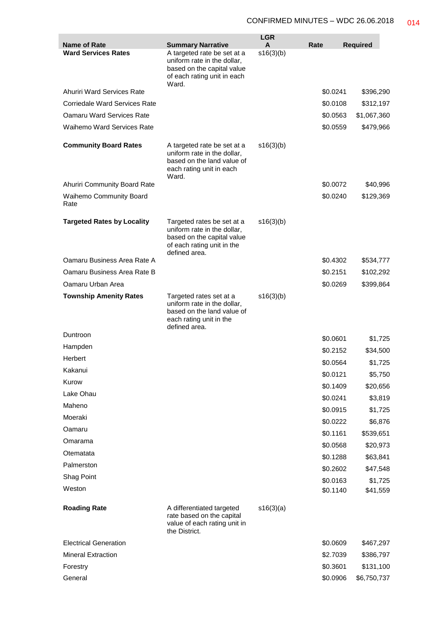|                                                   |                                                                                                                                        | <b>LGR</b>     |          |                 |
|---------------------------------------------------|----------------------------------------------------------------------------------------------------------------------------------------|----------------|----------|-----------------|
| <b>Name of Rate</b><br><b>Ward Services Rates</b> | <b>Summary Narrative</b><br>A targeted rate be set at a                                                                                | A<br>s16(3)(b) | Rate     | <b>Required</b> |
|                                                   | uniform rate in the dollar,<br>based on the capital value<br>of each rating unit in each<br>Ward.                                      |                |          |                 |
| <b>Ahuriri Ward Services Rate</b>                 |                                                                                                                                        |                | \$0.0241 | \$396,290       |
| <b>Corriedale Ward Services Rate</b>              |                                                                                                                                        |                | \$0.0108 | \$312,197       |
| Oamaru Ward Services Rate                         |                                                                                                                                        |                | \$0.0563 | \$1,067,360     |
| Waihemo Ward Services Rate                        |                                                                                                                                        |                | \$0.0559 | \$479,966       |
| <b>Community Board Rates</b>                      | A targeted rate be set at a<br>uniform rate in the dollar,<br>based on the land value of<br>each rating unit in each<br>Ward.          | s16(3)(b)      |          |                 |
| Ahuriri Community Board Rate                      |                                                                                                                                        |                | \$0.0072 | \$40,996        |
| Waihemo Community Board<br>Rate                   |                                                                                                                                        |                | \$0.0240 | \$129,369       |
| <b>Targeted Rates by Locality</b>                 | Targeted rates be set at a<br>uniform rate in the dollar,<br>based on the capital value<br>of each rating unit in the<br>defined area. | s16(3)(b)      |          |                 |
| Oamaru Business Area Rate A                       |                                                                                                                                        |                | \$0.4302 | \$534,777       |
| Oamaru Business Area Rate B                       |                                                                                                                                        |                | \$0.2151 | \$102,292       |
| Oamaru Urban Area                                 |                                                                                                                                        |                | \$0.0269 | \$399,864       |
| <b>Township Amenity Rates</b>                     | Targeted rates set at a<br>uniform rate in the dollar,<br>based on the land value of<br>each rating unit in the<br>defined area.       | s16(3)(b)      |          |                 |
| Duntroon                                          |                                                                                                                                        |                | \$0.0601 | \$1,725         |
| Hampden                                           |                                                                                                                                        |                | \$0.2152 | \$34,500        |
| Herbert                                           |                                                                                                                                        |                | \$0.0564 | \$1,725         |
| Kakanui                                           |                                                                                                                                        |                | \$0.0121 | \$5,750         |
| Kurow                                             |                                                                                                                                        |                | \$0.1409 | \$20,656        |
| Lake Ohau                                         |                                                                                                                                        |                | \$0.0241 | \$3,819         |
| Maheno                                            |                                                                                                                                        |                | \$0.0915 | \$1,725         |
| Moeraki                                           |                                                                                                                                        |                | \$0.0222 | \$6,876         |
| Oamaru                                            |                                                                                                                                        |                | \$0.1161 | \$539,651       |
| Omarama                                           |                                                                                                                                        |                | \$0.0568 | \$20,973        |
| Otematata                                         |                                                                                                                                        |                | \$0.1288 | \$63,841        |
| Palmerston                                        |                                                                                                                                        |                | \$0.2602 | \$47,548        |
| Shag Point                                        |                                                                                                                                        |                | \$0.0163 | \$1,725         |
| Weston                                            |                                                                                                                                        |                | \$0.1140 | \$41,559        |
| <b>Roading Rate</b>                               | A differentiated targeted<br>rate based on the capital<br>value of each rating unit in<br>the District.                                | s16(3)(a)      |          |                 |
| <b>Electrical Generation</b>                      |                                                                                                                                        |                | \$0.0609 | \$467,297       |
| <b>Mineral Extraction</b>                         |                                                                                                                                        |                | \$2.7039 | \$386,797       |
| Forestry                                          |                                                                                                                                        |                | \$0.3601 | \$131,100       |
| General                                           |                                                                                                                                        |                | \$0.0906 | \$6,750,737     |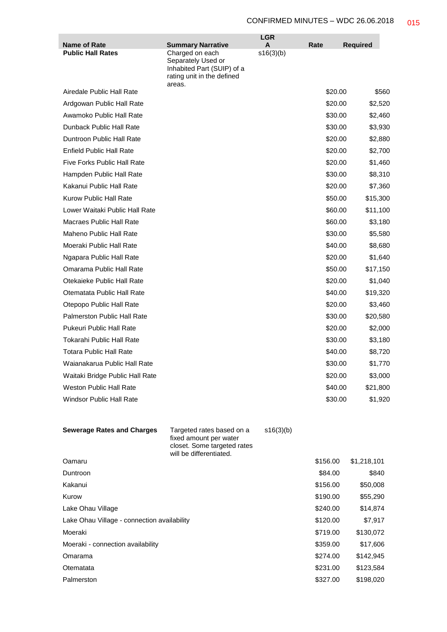|                                                 |                                                                                                               | <b>LGR</b>     |          |                 |
|-------------------------------------------------|---------------------------------------------------------------------------------------------------------------|----------------|----------|-----------------|
| <b>Name of Rate</b><br><b>Public Hall Rates</b> | <b>Summary Narrative</b><br>Charged on each                                                                   | A<br>s16(3)(b) | Rate     | <b>Required</b> |
|                                                 | Separately Used or<br>Inhabited Part (SUIP) of a<br>rating unit in the defined                                |                |          |                 |
|                                                 | areas.                                                                                                        |                |          |                 |
| Airedale Public Hall Rate                       |                                                                                                               |                | \$20.00  | \$560           |
| Ardgowan Public Hall Rate                       |                                                                                                               |                | \$20.00  | \$2,520         |
| Awamoko Public Hall Rate                        |                                                                                                               |                | \$30.00  | \$2,460         |
| Dunback Public Hall Rate                        |                                                                                                               |                | \$30.00  | \$3,930         |
| Duntroon Public Hall Rate                       |                                                                                                               |                | \$20.00  | \$2,880         |
| <b>Enfield Public Hall Rate</b>                 |                                                                                                               |                | \$20.00  | \$2,700         |
| <b>Five Forks Public Hall Rate</b>              |                                                                                                               |                | \$20.00  | \$1,460         |
| Hampden Public Hall Rate                        |                                                                                                               |                | \$30.00  | \$8,310         |
| Kakanui Public Hall Rate                        |                                                                                                               |                | \$20.00  | \$7,360         |
| Kurow Public Hall Rate                          |                                                                                                               |                | \$50.00  | \$15,300        |
| Lower Waitaki Public Hall Rate                  |                                                                                                               |                | \$60.00  | \$11,100        |
| Macraes Public Hall Rate                        |                                                                                                               |                | \$60.00  | \$3,180         |
| Maheno Public Hall Rate                         |                                                                                                               |                | \$30.00  | \$5,580         |
| Moeraki Public Hall Rate                        |                                                                                                               |                | \$40.00  | \$8,680         |
| Ngapara Public Hall Rate                        |                                                                                                               |                | \$20.00  | \$1,640         |
| Omarama Public Hall Rate                        |                                                                                                               |                | \$50.00  | \$17,150        |
| Otekaieke Public Hall Rate                      |                                                                                                               |                | \$20.00  | \$1,040         |
| Otematata Public Hall Rate                      |                                                                                                               |                | \$40.00  | \$19,320        |
| Otepopo Public Hall Rate                        |                                                                                                               |                | \$20.00  | \$3,460         |
| <b>Palmerston Public Hall Rate</b>              |                                                                                                               |                | \$30.00  | \$20,580        |
| <b>Pukeuri Public Hall Rate</b>                 |                                                                                                               |                | \$20.00  | \$2,000         |
| Tokarahi Public Hall Rate                       |                                                                                                               |                | \$30.00  | \$3,180         |
| Totara Public Hall Rate                         |                                                                                                               |                | \$40.00  | \$8,720         |
| Waianakarua Public Hall Rate                    |                                                                                                               |                | \$30.00  | \$1,770         |
| Waitaki Bridge Public Hall Rate                 |                                                                                                               |                | \$20.00  | \$3,000         |
| <b>Weston Public Hall Rate</b>                  |                                                                                                               |                | \$40.00  | \$21,800        |
| <b>Windsor Public Hall Rate</b>                 |                                                                                                               |                | \$30.00  | \$1,920         |
|                                                 |                                                                                                               |                |          |                 |
| <b>Sewerage Rates and Charges</b>               | Targeted rates based on a<br>fixed amount per water<br>closet. Some targeted rates<br>will be differentiated. | s16(3)(b)      |          |                 |
| Oamaru                                          |                                                                                                               |                | \$156.00 | \$1,218,101     |
| Duntroon                                        |                                                                                                               |                | \$84.00  | \$840           |
| Kakanui                                         |                                                                                                               |                | \$156.00 | \$50,008        |
| Kurow                                           |                                                                                                               |                | \$190.00 | \$55,290        |
| Lake Ohau Village                               |                                                                                                               |                | \$240.00 | \$14,874        |
| Lake Ohau Village - connection availability     |                                                                                                               |                | \$120.00 | \$7,917         |
| Moeraki                                         |                                                                                                               |                | \$719.00 | \$130,072       |
| Moeraki - connection availability               |                                                                                                               |                | \$359.00 | \$17,606        |
| Omarama                                         |                                                                                                               |                | \$274.00 | \$142,945       |
| Otematata                                       |                                                                                                               |                | \$231.00 | \$123,584       |
| Palmerston                                      |                                                                                                               |                | \$327.00 | \$198,020       |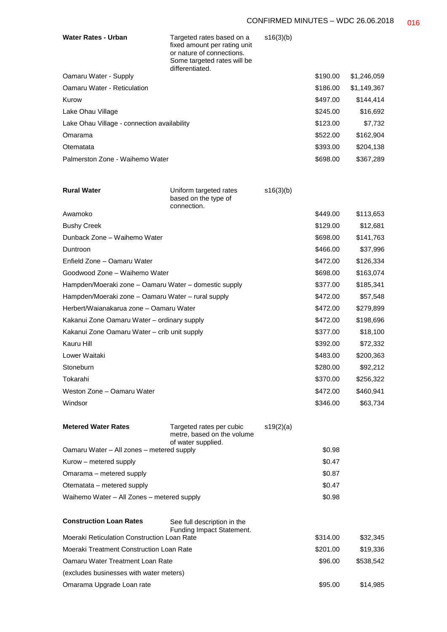| <b>Water Rates - Urban</b>                            | Targeted rates based on a<br>fixed amount per rating unit<br>or nature of connections.<br>Some targeted rates will be<br>differentiated. | s16(3)(b) |          |             |
|-------------------------------------------------------|------------------------------------------------------------------------------------------------------------------------------------------|-----------|----------|-------------|
| Oamaru Water - Supply                                 |                                                                                                                                          |           | \$190.00 | \$1,246,059 |
| <b>Oamaru Water - Reticulation</b>                    |                                                                                                                                          |           | \$186.00 | \$1,149,367 |
| Kurow                                                 |                                                                                                                                          |           | \$497.00 | \$144,414   |
| Lake Ohau Village                                     |                                                                                                                                          |           | \$245.00 | \$16,692    |
| Lake Ohau Village - connection availability           |                                                                                                                                          |           | \$123.00 | \$7,732     |
| Omarama                                               |                                                                                                                                          |           | \$522.00 | \$162,904   |
| Otematata                                             |                                                                                                                                          |           | \$393.00 | \$204,138   |
| Palmerston Zone - Waihemo Water                       |                                                                                                                                          |           | \$698.00 | \$367,289   |
| <b>Rural Water</b>                                    | Uniform targeted rates<br>based on the type of<br>connection.                                                                            | s16(3)(b) |          |             |
| Awamoko                                               |                                                                                                                                          |           | \$449.00 | \$113,653   |
| <b>Bushy Creek</b>                                    |                                                                                                                                          |           | \$129.00 | \$12,681    |
| Dunback Zone - Waihemo Water                          |                                                                                                                                          |           | \$698.00 | \$141,763   |
| Duntroon                                              |                                                                                                                                          |           | \$466.00 | \$37,996    |
| Enfield Zone - Oamaru Water                           |                                                                                                                                          |           | \$472.00 | \$126,334   |
| Goodwood Zone - Waihemo Water                         |                                                                                                                                          |           | \$698.00 | \$163,074   |
| Hampden/Moeraki zone - Oamaru Water - domestic supply |                                                                                                                                          |           | \$377.00 | \$185,341   |
| Hampden/Moeraki zone - Oamaru Water - rural supply    |                                                                                                                                          |           | \$472.00 | \$57,548    |
| Herbert/Waianakarua zone – Oamaru Water               |                                                                                                                                          |           | \$472.00 | \$279,899   |
| Kakanui Zone Oamaru Water - ordinary supply           |                                                                                                                                          |           | \$472.00 | \$198,696   |
| Kakanui Zone Oamaru Water - crib unit supply          |                                                                                                                                          |           | \$377.00 | \$18,100    |
| Kauru Hill                                            |                                                                                                                                          |           | \$392.00 | \$72,332    |
| Lower Waitaki                                         |                                                                                                                                          |           | \$483.00 | \$200,363   |
| Stoneburn                                             |                                                                                                                                          |           | \$280.00 | \$92,212    |
| Tokarahi                                              |                                                                                                                                          |           | \$370.00 | \$256,322   |
| Weston Zone - Oamaru Water                            |                                                                                                                                          |           | \$472.00 | \$460,941   |
| Windsor                                               |                                                                                                                                          |           | \$346.00 | \$63,734    |
| <b>Metered Water Rates</b>                            | Targeted rates per cubic<br>metre, based on the volume<br>of water supplied.                                                             | s19(2)(a) |          |             |
| Oamaru Water - All zones - metered supply             |                                                                                                                                          |           | \$0.98   |             |
| Kurow – metered supply                                |                                                                                                                                          |           | \$0.47   |             |
| Omarama - metered supply                              |                                                                                                                                          |           | \$0.87   |             |
| Otematata - metered supply                            |                                                                                                                                          |           | \$0.47   |             |
| Waihemo Water - All Zones - metered supply            |                                                                                                                                          |           | \$0.98   |             |
| <b>Construction Loan Rates</b>                        | See full description in the<br>Funding Impact Statement.                                                                                 |           |          |             |
| Moeraki Reticulation Construction Loan Rate           |                                                                                                                                          |           | \$314.00 | \$32,345    |
| Moeraki Treatment Construction Loan Rate              |                                                                                                                                          |           | \$201.00 | \$19,336    |
| Oamaru Water Treatment Loan Rate                      |                                                                                                                                          |           | \$96.00  | \$538,542   |
| (excludes businesses with water meters)               |                                                                                                                                          |           |          |             |
| Omarama Upgrade Loan rate                             |                                                                                                                                          |           | \$95.00  | \$14,985    |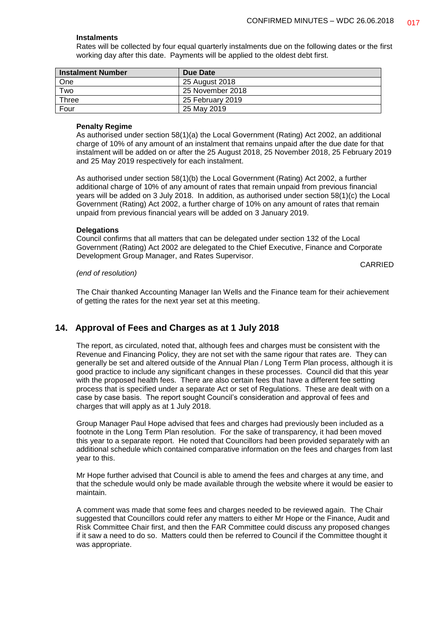#### **Instalments**

Rates will be collected by four equal quarterly instalments due on the following dates or the first working day after this date. Payments will be applied to the oldest debt first.

| Instalment Number | Due Date         |
|-------------------|------------------|
| One               | 25 August 2018   |
| Two               | 25 November 2018 |
| Three             | 25 February 2019 |
| Four              | 25 May 2019      |

#### **Penalty Regime**

As authorised under section 58(1)(a) the Local Government (Rating) Act 2002, an additional charge of 10% of any amount of an instalment that remains unpaid after the due date for that instalment will be added on or after the 25 August 2018, 25 November 2018, 25 February 2019 and 25 May 2019 respectively for each instalment.

As authorised under section 58(1)(b) the Local Government (Rating) Act 2002, a further additional charge of 10% of any amount of rates that remain unpaid from previous financial years will be added on 3 July 2018. In addition, as authorised under section 58(1)(c) the Local Government (Rating) Act 2002, a further charge of 10% on any amount of rates that remain unpaid from previous financial years will be added on 3 January 2019.

#### **Delegations**

Council confirms that all matters that can be delegated under section 132 of the Local Government (Rating) Act 2002 are delegated to the Chief Executive, Finance and Corporate Development Group Manager, and Rates Supervisor.

#### *(end of resolution)*

CARRIED

The Chair thanked Accounting Manager Ian Wells and the Finance team for their achievement of getting the rates for the next year set at this meeting.

#### **14. Approval of Fees and Charges as at 1 July 2018**

The report, as circulated, noted that, although fees and charges must be consistent with the Revenue and Financing Policy, they are not set with the same rigour that rates are. They can generally be set and altered outside of the Annual Plan / Long Term Plan process, although it is good practice to include any significant changes in these processes. Council did that this year with the proposed health fees. There are also certain fees that have a different fee setting process that is specified under a separate Act or set of Regulations. These are dealt with on a case by case basis. The report sought Council's consideration and approval of fees and charges that will apply as at 1 July 2018.

Group Manager Paul Hope advised that fees and charges had previously been included as a footnote in the Long Term Plan resolution. For the sake of transparency, it had been moved this year to a separate report. He noted that Councillors had been provided separately with an additional schedule which contained comparative information on the fees and charges from last year to this.

Mr Hope further advised that Council is able to amend the fees and charges at any time, and that the schedule would only be made available through the website where it would be easier to maintain.

A comment was made that some fees and charges needed to be reviewed again. The Chair suggested that Councillors could refer any matters to either Mr Hope or the Finance, Audit and Risk Committee Chair first, and then the FAR Committee could discuss any proposed changes if it saw a need to do so. Matters could then be referred to Council if the Committee thought it was appropriate.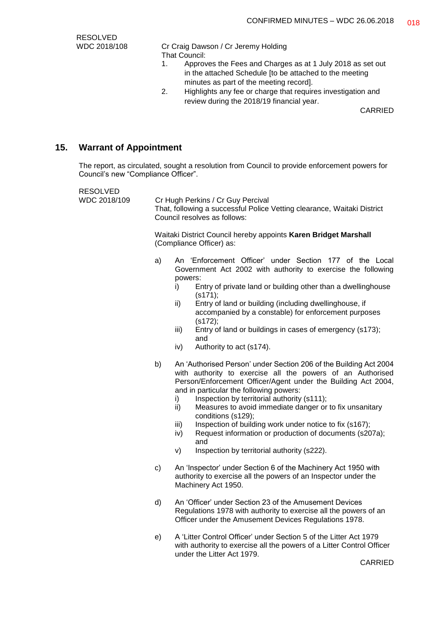RESOLVED

WDC 2018/108 Cr Craig Dawson / Cr Jeremy Holding That Council:

- 1. Approves the Fees and Charges as at 1 July 2018 as set out in the attached Schedule [to be attached to the meeting minutes as part of the meeting record].
- 2. Highlights any fee or charge that requires investigation and review during the 2018/19 financial year.

CARRIED

#### **15. Warrant of Appointment**

The report, as circulated, sought a resolution from Council to provide enforcement powers for Council's new "Compliance Officer".

RESOLVED

WDC 2018/109 Cr Hugh Perkins / Cr Guy Percival That, following a successful Police Vetting clearance, Waitaki District Council resolves as follows:

> Waitaki District Council hereby appoints **Karen Bridget Marshall** (Compliance Officer) as:

- a) An 'Enforcement Officer' under Section 177 of the Local Government Act 2002 with authority to exercise the following powers:
	- i) Entry of private land or building other than a dwellinghouse (s171);
	- ii) Entry of land or building (including dwellinghouse, if accompanied by a constable) for enforcement purposes (s172);
	- iii) Entry of land or buildings in cases of emergency (s173); and
	- iv) Authority to act (s174).
- b) An 'Authorised Person' under Section 206 of the Building Act 2004 with authority to exercise all the powers of an Authorised Person/Enforcement Officer/Agent under the Building Act 2004, and in particular the following powers:
	- i) Inspection by territorial authority  $(s111)$ ;
	- ii) Measures to avoid immediate danger or to fix unsanitary conditions (s129);
	- iii) Inspection of building work under notice to fix (s167);
	- iv) Request information or production of documents (s207a); and
	- v) Inspection by territorial authority (s222).
- c) An 'Inspector' under Section 6 of the Machinery Act 1950 with authority to exercise all the powers of an Inspector under the Machinery Act 1950.
- d) An 'Officer' under Section 23 of the Amusement Devices Regulations 1978 with authority to exercise all the powers of an Officer under the Amusement Devices Regulations 1978.
- e) A 'Litter Control Officer' under Section 5 of the Litter Act 1979 with authority to exercise all the powers of a Litter Control Officer under the Litter Act 1979.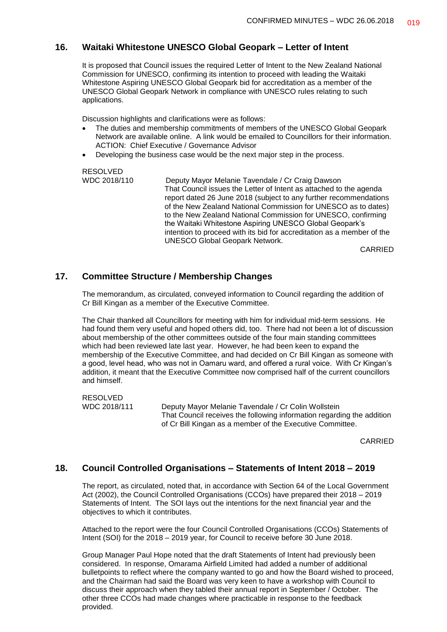#### **16. Waitaki Whitestone UNESCO Global Geopark – Letter of Intent**

It is proposed that Council issues the required Letter of Intent to the New Zealand National Commission for UNESCO, confirming its intention to proceed with leading the Waitaki Whitestone Aspiring UNESCO Global Geopark bid for accreditation as a member of the UNESCO Global Geopark Network in compliance with UNESCO rules relating to such applications.

Discussion highlights and clarifications were as follows:

- The duties and membership commitments of members of the UNESCO Global Geopark Network are available online. A link would be emailed to Councillors for their information. ACTION: Chief Executive / Governance Advisor
- Developing the business case would be the next major step in the process.

RESOLVED<br>WDC 2018/110

Deputy Mayor Melanie Tavendale / Cr Craig Dawson That Council issues the Letter of Intent as attached to the agenda report dated 26 June 2018 (subject to any further recommendations of the New Zealand National Commission for UNESCO as to dates) to the New Zealand National Commission for UNESCO, confirming the Waitaki Whitestone Aspiring UNESCO Global Geopark's intention to proceed with its bid for accreditation as a member of the UNESCO Global Geopark Network.

CARRIED

#### **17. Committee Structure / Membership Changes**

The memorandum, as circulated, conveyed information to Council regarding the addition of Cr Bill Kingan as a member of the Executive Committee.

The Chair thanked all Councillors for meeting with him for individual mid-term sessions. He had found them very useful and hoped others did, too. There had not been a lot of discussion about membership of the other committees outside of the four main standing committees which had been reviewed late last year. However, he had been keen to expand the membership of the Executive Committee, and had decided on Cr Bill Kingan as someone with a good, level head, who was not in Oamaru ward, and offered a rural voice. With Cr Kingan's addition, it meant that the Executive Committee now comprised half of the current councillors and himself.

RESOLVED WDC 2018/111 Deputy Mayor Melanie Tavendale / Cr Colin Wollstein That Council receives the following information regarding the addition of Cr Bill Kingan as a member of the Executive Committee.

CARRIED

#### **18. Council Controlled Organisations – Statements of Intent 2018 – 2019**

The report, as circulated, noted that, in accordance with Section 64 of the Local Government Act (2002), the Council Controlled Organisations (CCOs) have prepared their 2018 – 2019 Statements of Intent. The SOI lays out the intentions for the next financial year and the objectives to which it contributes.

Attached to the report were the four Council Controlled Organisations (CCOs) Statements of Intent (SOI) for the 2018 – 2019 year, for Council to receive before 30 June 2018.

Group Manager Paul Hope noted that the draft Statements of Intent had previously been considered. In response, Omarama Airfield Limited had added a number of additional bulletpoints to reflect where the company wanted to go and how the Board wished to proceed, and the Chairman had said the Board was very keen to have a workshop with Council to discuss their approach when they tabled their annual report in September / October. The other three CCOs had made changes where practicable in response to the feedback provided.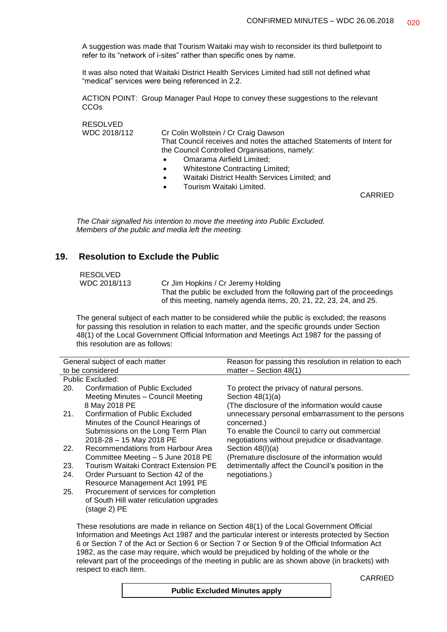A suggestion was made that Tourism Waitaki may wish to reconsider its third bulletpoint to refer to its "network of i-sites" rather than specific ones by name.

It was also noted that Waitaki District Health Services Limited had still not defined what "medical" services were being referenced in 2.2.

ACTION POINT: Group Manager Paul Hope to convey these suggestions to the relevant **CCO<sub>s</sub>** 

RESOLVED

WDC 2018/112 Cr Colin Wollstein / Cr Craig Dawson That Council receives and notes the attached Statements of Intent for the Council Controlled Organisations, namely:

- Omarama Airfield Limited;
- Whitestone Contracting Limited;
- Waitaki District Health Services Limited; and
- Tourism Waitaki Limited.

CARRIED

*The Chair signalled his intention to move the meeting into Public Excluded. Members of the public and media left the meeting.*

#### **19. Resolution to Exclude the Public**

RESOLVED<br>WDC 2018/113

(stage 2) PE

Cr Jim Hopkins / Cr Jeremy Holding That the public be excluded from the following part of the proceedings of this meeting, namely agenda items, 20, 21, 22, 23, 24, and 25.

The general subject of each matter to be considered while the public is excluded; the reasons for passing this resolution in relation to each matter, and the specific grounds under Section 48(1) of the Local Government Official Information and Meetings Act 1987 for the passing of this resolution are as follows:

| General subject of each matter |                                           | Reason for passing this resolution in relation to each |
|--------------------------------|-------------------------------------------|--------------------------------------------------------|
|                                | to be considered                          | matter $-$ Section 48(1)                               |
|                                | Public Excluded:                          |                                                        |
| 20.                            | <b>Confirmation of Public Excluded</b>    | To protect the privacy of natural persons.             |
|                                | Meeting Minutes - Council Meeting         | Section $48(1)(a)$                                     |
|                                | 8 May 2018 PE                             | (The disclosure of the information would cause)        |
| 21.                            | <b>Confirmation of Public Excluded</b>    | unnecessary personal embarrassment to the persons      |
|                                | Minutes of the Council Hearings of        | concerned.)                                            |
|                                | Submissions on the Long Term Plan         | To enable the Council to carry out commercial          |
|                                | 2018-28 - 15 May 2018 PE                  | negotiations without prejudice or disadvantage.        |
| 22.                            | Recommendations from Harbour Area         | Section $48(l)(a)$                                     |
|                                | Committee Meeting - 5 June 2018 PE        | (Premature disclosure of the information would         |
| 23.                            | Tourism Waitaki Contract Extension PE     | detrimentally affect the Council's position in the     |
| 24.                            | Order Pursuant to Section 42 of the       | negotiations.)                                         |
|                                | Resource Management Act 1991 PE           |                                                        |
| 25.                            | Procurement of services for completion    |                                                        |
|                                | of South Hill water reticulation upgrades |                                                        |

These resolutions are made in reliance on Section 48(1) of the Local Government Official Information and Meetings Act 1987 and the particular interest or interests protected by Section 6 or Section 7 of the Act or Section 6 or Section 7 or Section 9 of the Official Information Act 1982, as the case may require, which would be prejudiced by holding of the whole or the relevant part of the proceedings of the meeting in public are as shown above (in brackets) with respect to each item.

| <b>Public Excluded Minutes apply</b> |  |  |  |  |  |
|--------------------------------------|--|--|--|--|--|
|--------------------------------------|--|--|--|--|--|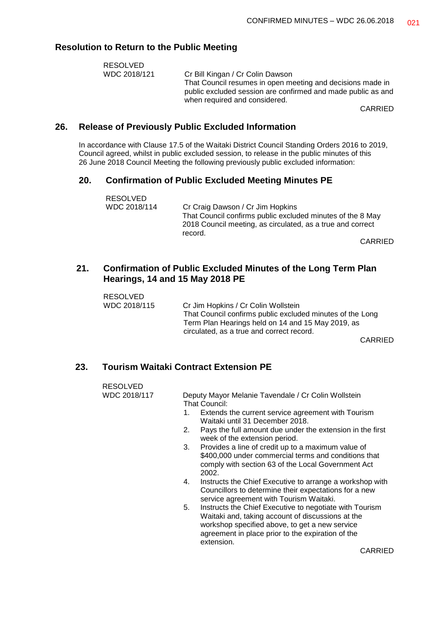#### **Resolution to Return to the Public Meeting**

| RESOLVED     |                                                              |
|--------------|--------------------------------------------------------------|
| WDC 2018/121 | Cr Bill Kingan / Cr Colin Dawson                             |
|              | That Council resumes in open meeting and decisions made in   |
|              | public excluded session are confirmed and made public as and |
|              | when required and considered.                                |

CARRIED

#### **26. Release of Previously Public Excluded Information**

In accordance with Clause 17.5 of the Waitaki District Council Standing Orders 2016 to 2019, Council agreed, whilst in public excluded session, to release in the public minutes of this 26 June 2018 Council Meeting the following previously public excluded information:

## **20. Confirmation of Public Excluded Meeting Minutes PE**

| RESOLVED     |                                                                                                                                     |
|--------------|-------------------------------------------------------------------------------------------------------------------------------------|
| WDC 2018/114 | Cr Craig Dawson / Cr Jim Hopkins                                                                                                    |
|              | That Council confirms public excluded minutes of the 8 May<br>2018 Council meeting, as circulated, as a true and correct<br>record. |
|              | $\bigcap$ $\bigcap$ $\bigcap$                                                                                                       |

CARRIED

## **21. Confirmation of Public Excluded Minutes of the Long Term Plan Hearings, 14 and 15 May 2018 PE**

| RESOLVED     |                                                           |
|--------------|-----------------------------------------------------------|
| WDC 2018/115 | Cr Jim Hopkins / Cr Colin Wollstein                       |
|              | That Council confirms public excluded minutes of the Long |
|              | Term Plan Hearings held on 14 and 15 May 2019, as         |
|              | circulated, as a true and correct record.                 |
|              |                                                           |

CARRIED

## **23. Tourism Waitaki Contract Extension PE**

| RESOLVED     |                                                                                                                                                                                                                           |
|--------------|---------------------------------------------------------------------------------------------------------------------------------------------------------------------------------------------------------------------------|
| WDC 2018/117 | Deputy Mayor Melanie Tavendale / Cr Colin Wollstein<br>That Council:                                                                                                                                                      |
|              | Extends the current service agreement with Tourism<br>1.<br>Waitaki until 31 December 2018.                                                                                                                               |
|              | Pays the full amount due under the extension in the first<br>2.<br>week of the extension period.                                                                                                                          |
|              | Provides a line of credit up to a maximum value of<br>3.<br>\$400,000 under commercial terms and conditions that<br>comply with section 63 of the Local Government Act<br>2002.                                           |
|              | Instructs the Chief Executive to arrange a workshop with<br>4.<br>Councillors to determine their expectations for a new<br>service agreement with Tourism Waitaki.                                                        |
|              | 5.<br>Instructs the Chief Executive to negotiate with Tourism<br>Waitaki and, taking account of discussions at the<br>workshop specified above, to get a new service<br>agreement in place prior to the expiration of the |

extension.